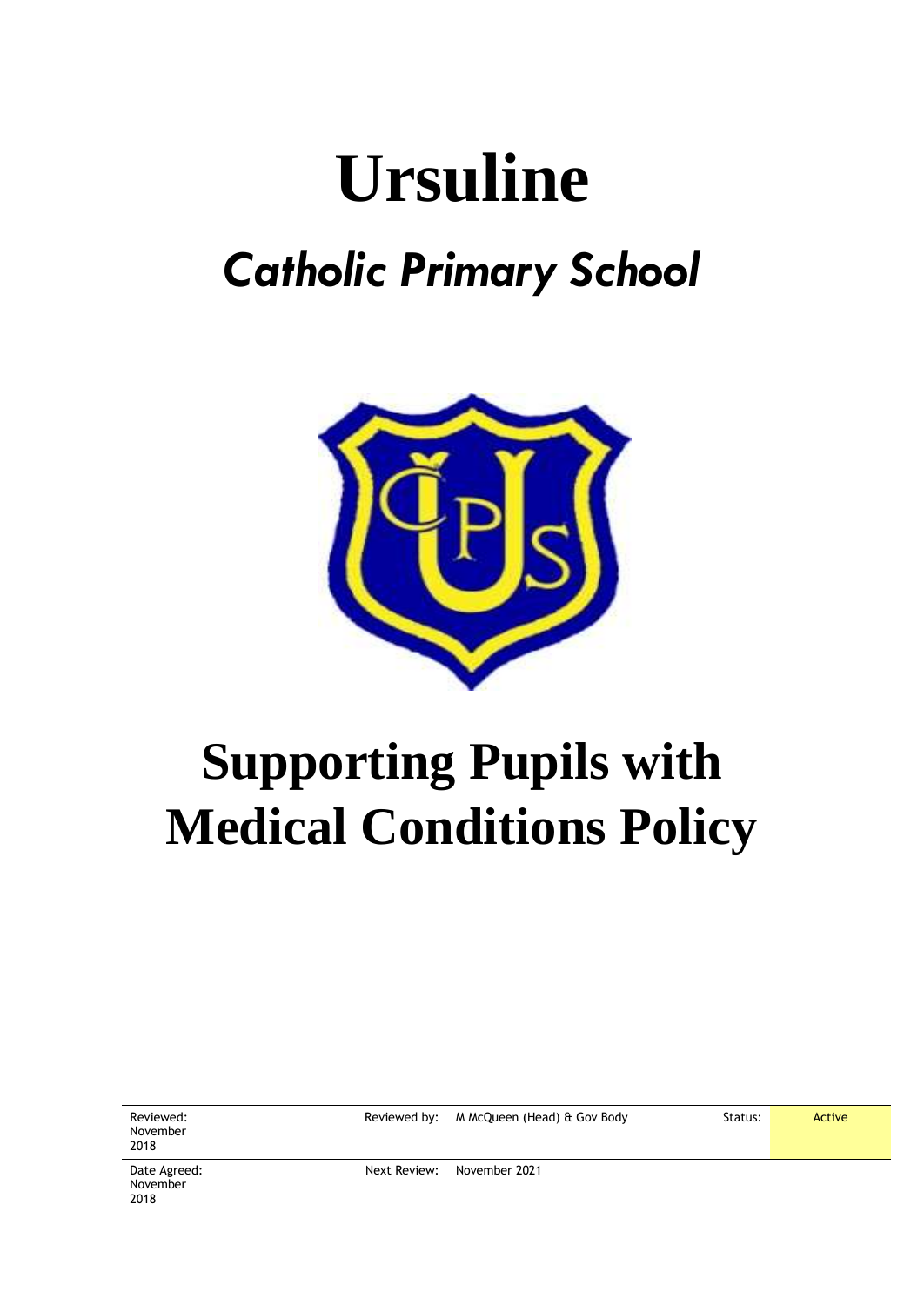# **Ursuline** *Catholic Primary School*



## **Supporting Pupils with Medical Conditions Policy**

| Reviewed:<br>November<br>2018    |              | Reviewed by: M McQueen (Head) & Gov Body | Status: | Active |
|----------------------------------|--------------|------------------------------------------|---------|--------|
| Date Agreed:<br>November<br>2018 | Next Review: | November 2021                            |         |        |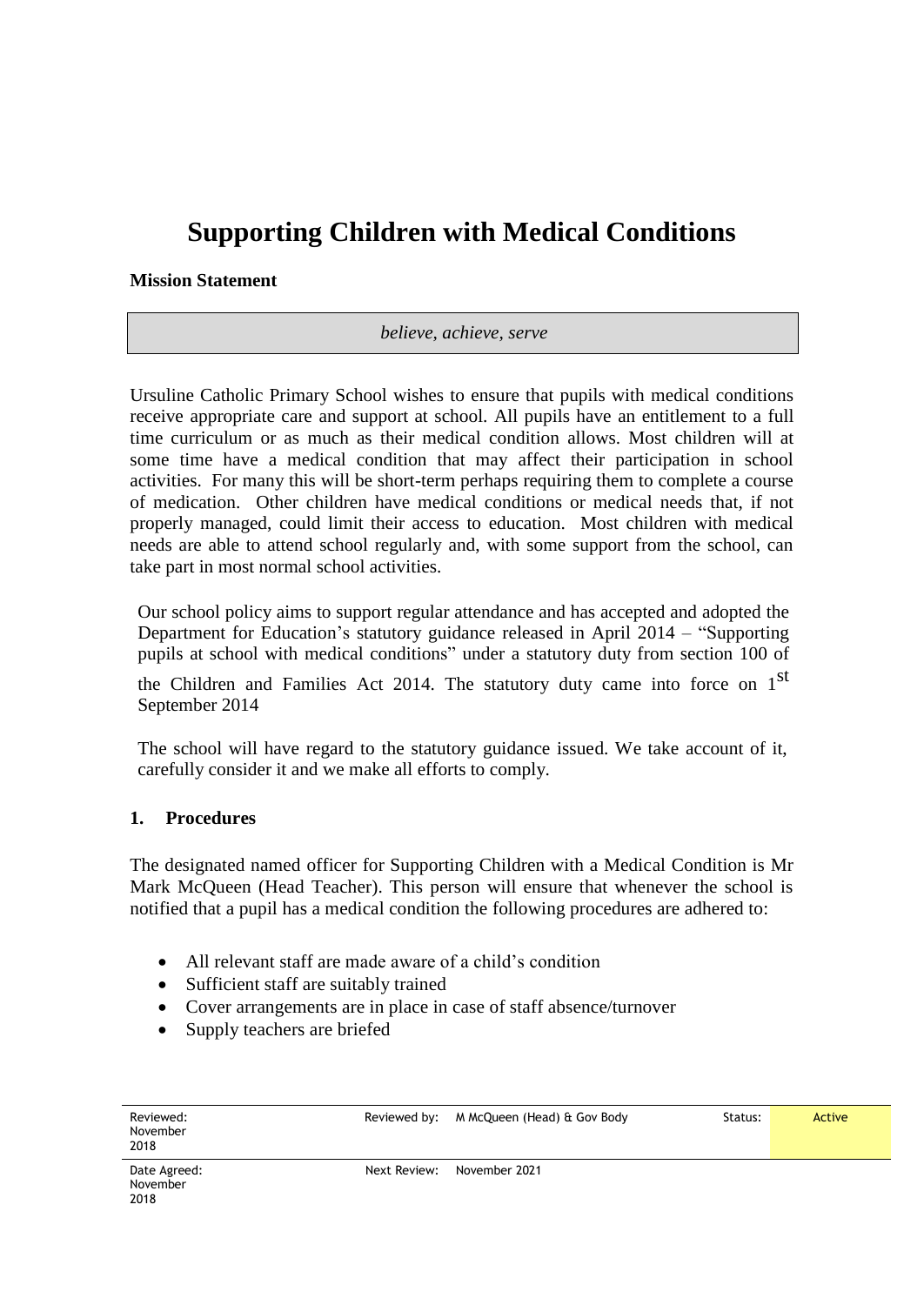### **Supporting Children with Medical Conditions**

**Mission Statement**

*believe, achieve, serve*

Ursuline Catholic Primary School wishes to ensure that pupils with medical conditions receive appropriate care and support at school. All pupils have an entitlement to a full time curriculum or as much as their medical condition allows. Most children will at some time have a medical condition that may affect their participation in school activities. For many this will be short-term perhaps requiring them to complete a course of medication. Other children have medical conditions or medical needs that, if not properly managed, could limit their access to education. Most children with medical needs are able to attend school regularly and, with some support from the school, can take part in most normal school activities.

Our school policy aims to support regular attendance and has accepted and adopted the Department for Education's statutory guidance released in April 2014 – "Supporting pupils at school with medical conditions" under a statutory duty from section 100 of

the Children and Families Act 2014. The statutory duty came into force on 1<sup>st</sup> September 2014

The school will have regard to the statutory guidance issued. We take account of it, carefully consider it and we make all efforts to comply.

#### **1. Procedures**

The designated named officer for Supporting Children with a Medical Condition is Mr Mark McQueen (Head Teacher). This person will ensure that whenever the school is notified that a pupil has a medical condition the following procedures are adhered to:

- All relevant staff are made aware of a child's condition
- Sufficient staff are suitably trained
- Cover arrangements are in place in case of staff absence/turnover
- Supply teachers are briefed

| Reviewed:<br>November<br>2018    | Reviewed by: | M McQueen (Head) & Gov Body | Status: | Active |
|----------------------------------|--------------|-----------------------------|---------|--------|
| Date Agreed:<br>November<br>2018 | Next Review: | November 2021               |         |        |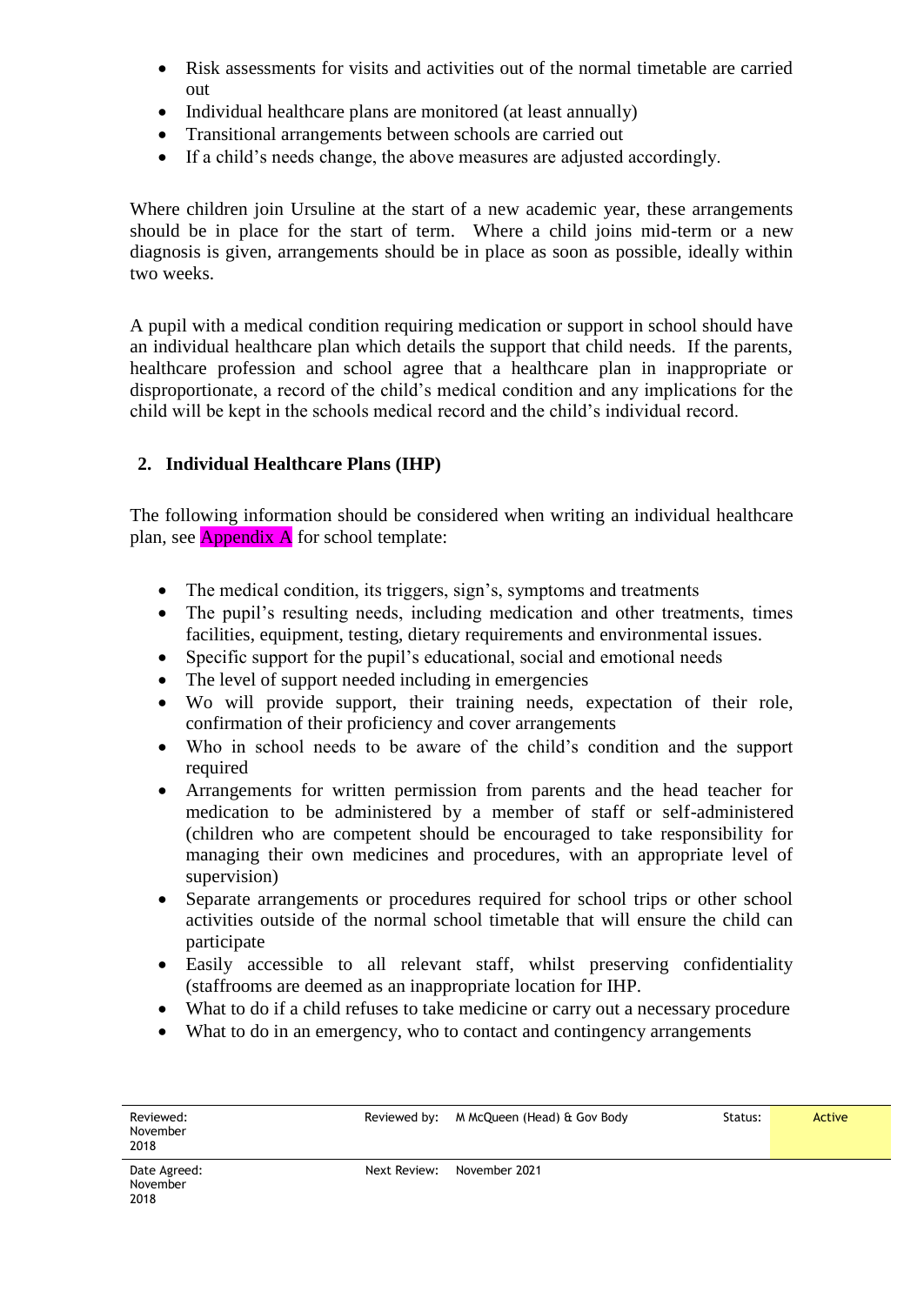- Risk assessments for visits and activities out of the normal timetable are carried out
- Individual healthcare plans are monitored (at least annually)
- Transitional arrangements between schools are carried out
- If a child's needs change, the above measures are adjusted accordingly.

Where children join Ursuline at the start of a new academic year, these arrangements should be in place for the start of term. Where a child joins mid-term or a new diagnosis is given, arrangements should be in place as soon as possible, ideally within two weeks.

A pupil with a medical condition requiring medication or support in school should have an individual healthcare plan which details the support that child needs. If the parents, healthcare profession and school agree that a healthcare plan in inappropriate or disproportionate, a record of the child's medical condition and any implications for the child will be kept in the schools medical record and the child's individual record.

#### **2. Individual Healthcare Plans (IHP)**

The following information should be considered when writing an individual healthcare plan, see  $\Delta$ ppendix  $\Delta$  for school template:

- The medical condition, its triggers, sign's, symptoms and treatments
- The pupil's resulting needs, including medication and other treatments, times facilities, equipment, testing, dietary requirements and environmental issues.
- Specific support for the pupil's educational, social and emotional needs
- The level of support needed including in emergencies
- Wo will provide support, their training needs, expectation of their role, confirmation of their proficiency and cover arrangements
- Who in school needs to be aware of the child's condition and the support required
- Arrangements for written permission from parents and the head teacher for medication to be administered by a member of staff or self-administered (children who are competent should be encouraged to take responsibility for managing their own medicines and procedures, with an appropriate level of supervision)
- Separate arrangements or procedures required for school trips or other school activities outside of the normal school timetable that will ensure the child can participate
- Easily accessible to all relevant staff, whilst preserving confidentiality (staffrooms are deemed as an inappropriate location for IHP.
- What to do if a child refuses to take medicine or carry out a necessary procedure
- What to do in an emergency, who to contact and contingency arrangements

| Reviewed:<br>November<br>2018    |              | Reviewed by: M McQueen (Head) & Gov Body | Status: | Active |
|----------------------------------|--------------|------------------------------------------|---------|--------|
| Date Agreed:<br>November<br>2018 | Next Review: | November 2021                            |         |        |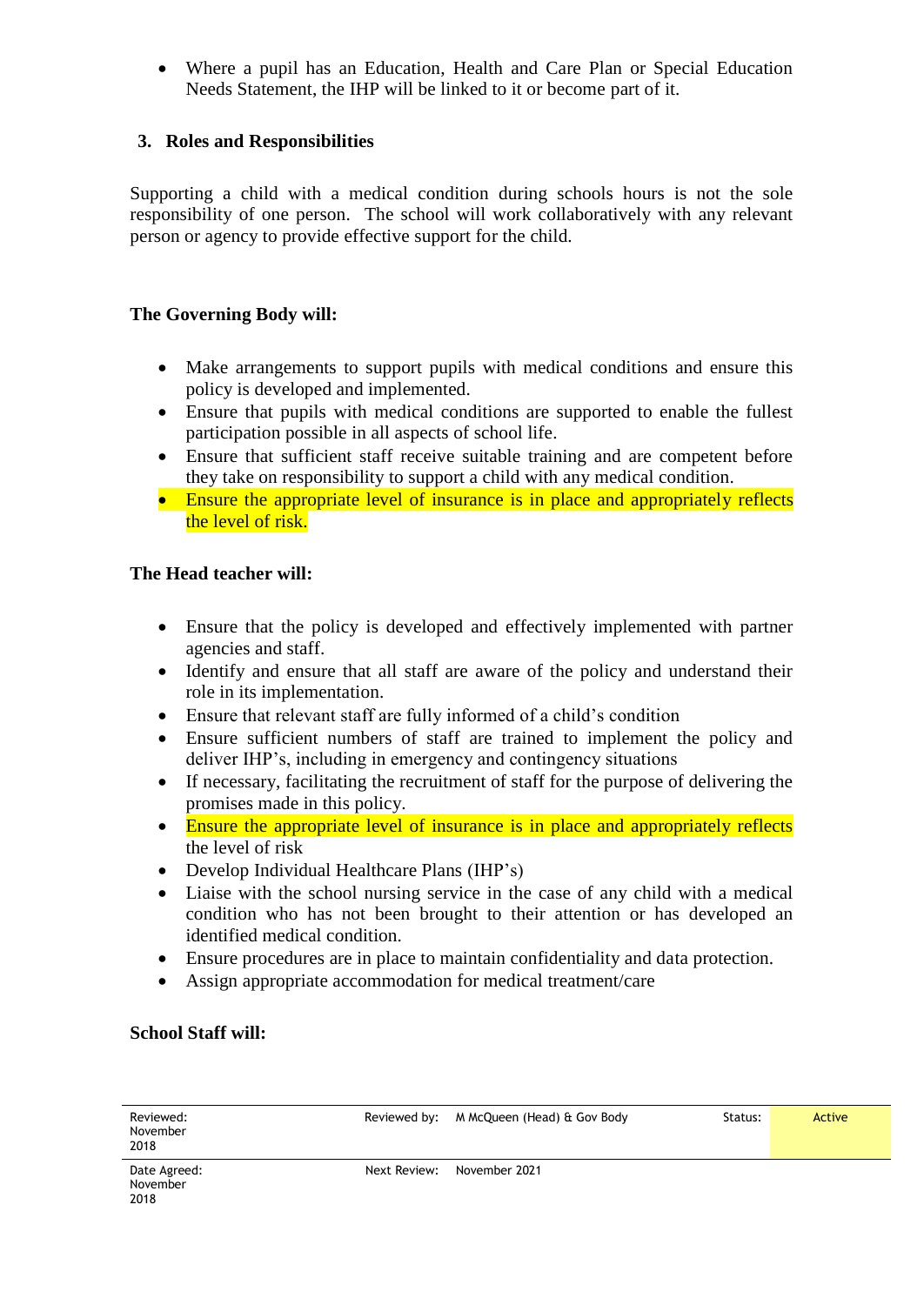Where a pupil has an Education, Health and Care Plan or Special Education Needs Statement, the IHP will be linked to it or become part of it.

#### **3. Roles and Responsibilities**

Supporting a child with a medical condition during schools hours is not the sole responsibility of one person. The school will work collaboratively with any relevant person or agency to provide effective support for the child.

#### **The Governing Body will:**

- Make arrangements to support pupils with medical conditions and ensure this policy is developed and implemented.
- Ensure that pupils with medical conditions are supported to enable the fullest participation possible in all aspects of school life.
- Ensure that sufficient staff receive suitable training and are competent before they take on responsibility to support a child with any medical condition.
- Ensure the appropriate level of insurance is in place and appropriately reflects the level of risk.

#### **The Head teacher will:**

- Ensure that the policy is developed and effectively implemented with partner agencies and staff.
- Identify and ensure that all staff are aware of the policy and understand their role in its implementation.
- Ensure that relevant staff are fully informed of a child's condition
- Ensure sufficient numbers of staff are trained to implement the policy and deliver IHP's, including in emergency and contingency situations
- If necessary, facilitating the recruitment of staff for the purpose of delivering the promises made in this policy.
- Ensure the appropriate level of insurance is in place and appropriately reflects the level of risk
- Develop Individual Healthcare Plans (IHP's)
- Liaise with the school nursing service in the case of any child with a medical condition who has not been brought to their attention or has developed an identified medical condition.
- Ensure procedures are in place to maintain confidentiality and data protection.
- Assign appropriate accommodation for medical treatment/care

#### **School Staff will:**

| Reviewed:<br>November<br>2018    |              | Reviewed by: M McQueen (Head) & Gov Body | Status: | Active |
|----------------------------------|--------------|------------------------------------------|---------|--------|
| Date Agreed:<br>November<br>2018 | Next Review: | November 2021                            |         |        |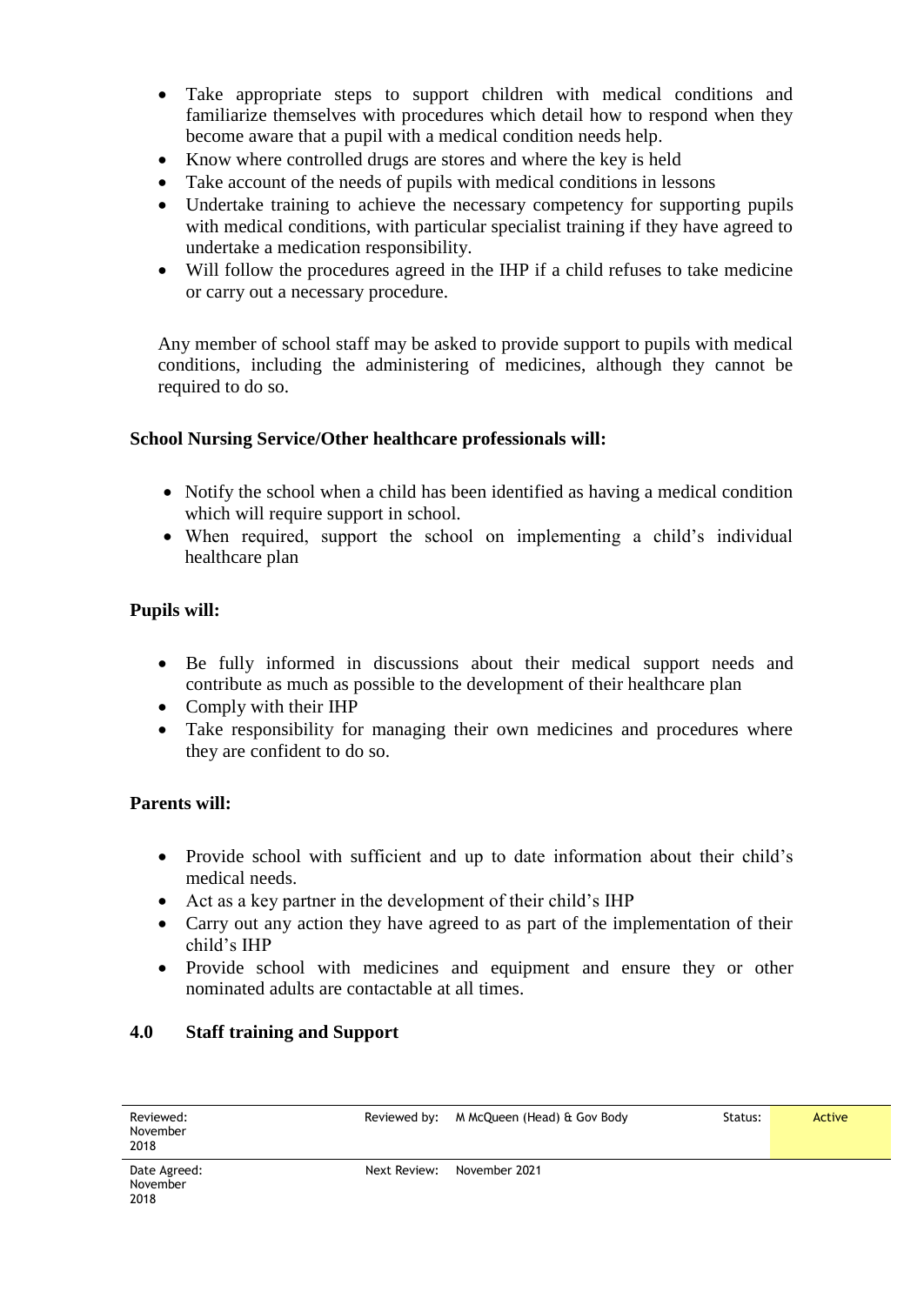- Take appropriate steps to support children with medical conditions and familiarize themselves with procedures which detail how to respond when they become aware that a pupil with a medical condition needs help.
- Know where controlled drugs are stores and where the key is held
- Take account of the needs of pupils with medical conditions in lessons
- Undertake training to achieve the necessary competency for supporting pupils with medical conditions, with particular specialist training if they have agreed to undertake a medication responsibility.
- Will follow the procedures agreed in the IHP if a child refuses to take medicine or carry out a necessary procedure.

Any member of school staff may be asked to provide support to pupils with medical conditions, including the administering of medicines, although they cannot be required to do so.

#### **School Nursing Service/Other healthcare professionals will:**

- Notify the school when a child has been identified as having a medical condition which will require support in school.
- When required, support the school on implementing a child's individual healthcare plan

#### **Pupils will:**

- Be fully informed in discussions about their medical support needs and contribute as much as possible to the development of their healthcare plan
- Comply with their IHP
- Take responsibility for managing their own medicines and procedures where they are confident to do so.

#### **Parents will:**

- Provide school with sufficient and up to date information about their child's medical needs.
- Act as a key partner in the development of their child's IHP
- Carry out any action they have agreed to as part of the implementation of their child's IHP
- Provide school with medicines and equipment and ensure they or other nominated adults are contactable at all times.

#### **4.0 Staff training and Support**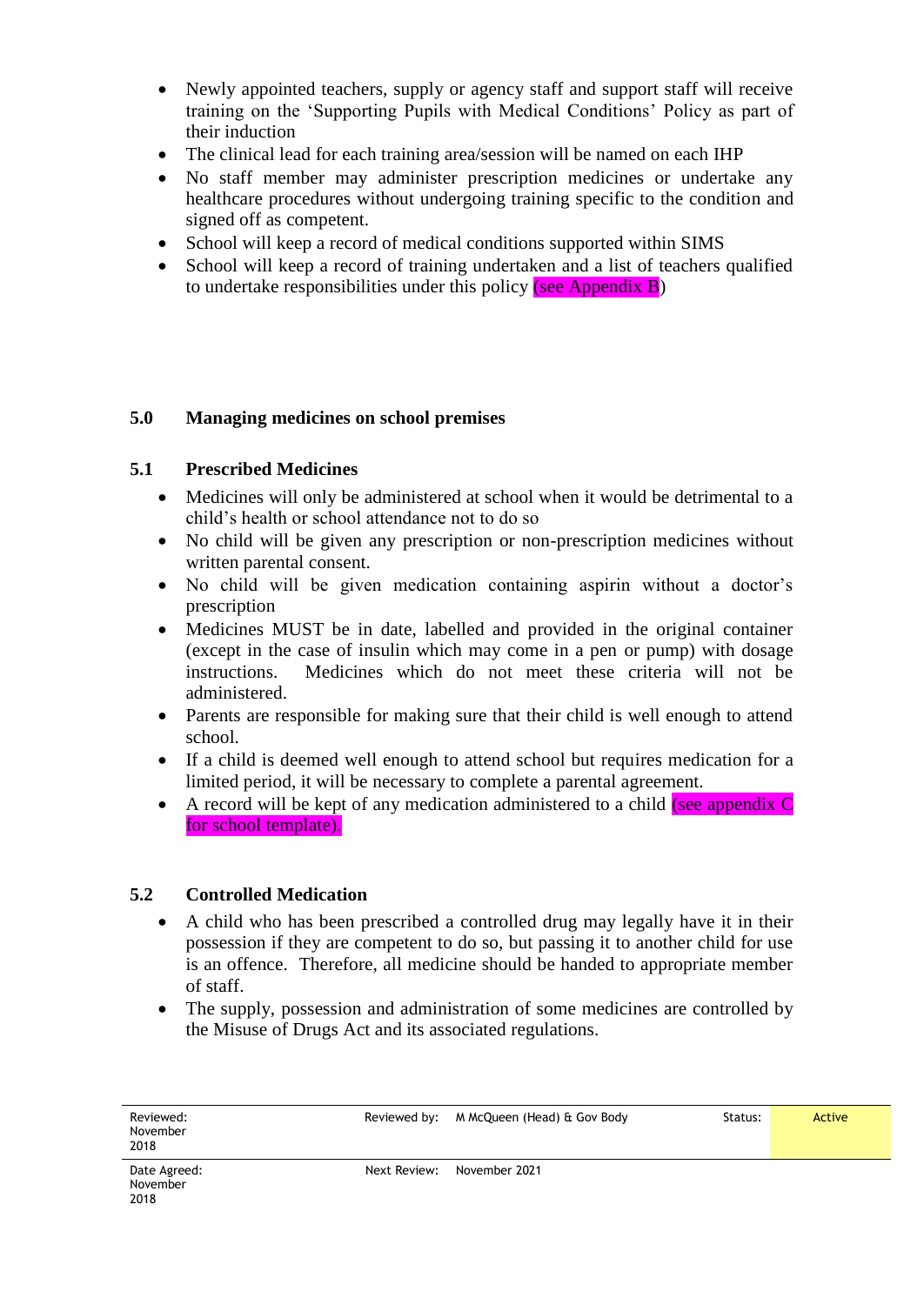- Newly appointed teachers, supply or agency staff and support staff will receive training on the 'Supporting Pupils with Medical Conditions' Policy as part of their induction
- The clinical lead for each training area/session will be named on each IHP
- No staff member may administer prescription medicines or undertake any healthcare procedures without undergoing training specific to the condition and signed off as competent.
- School will keep a record of medical conditions supported within SIMS
- School will keep a record of training undertaken and a list of teachers qualified to undertake responsibilities under this policy (see Appendix  $\bf{B}$ )

#### **5.0 Managing medicines on school premises**

#### **5.1 Prescribed Medicines**

- Medicines will only be administered at school when it would be detrimental to a child's health or school attendance not to do so
- No child will be given any prescription or non-prescription medicines without written parental consent.
- No child will be given medication containing aspirin without a doctor's prescription
- Medicines MUST be in date, labelled and provided in the original container (except in the case of insulin which may come in a pen or pump) with dosage instructions. Medicines which do not meet these criteria will not be Medicines which do not meet these criteria will not be administered.
- Parents are responsible for making sure that their child is well enough to attend school.
- If a child is deemed well enough to attend school but requires medication for a limited period, it will be necessary to complete a parental agreement.
- A record will be kept of any medication administered to a child (see appendix  $\overline{C}$ ) for school template).

#### **5.2 Controlled Medication**

- A child who has been prescribed a controlled drug may legally have it in their possession if they are competent to do so, but passing it to another child for use is an offence. Therefore, all medicine should be handed to appropriate member of staff.
- The supply, possession and administration of some medicines are controlled by the Misuse of Drugs Act and its associated regulations.

| Reviewed:<br>November<br>2018    |              | Reviewed by: M McQueen (Head) & Gov Body | Status: | <b>Active</b> |
|----------------------------------|--------------|------------------------------------------|---------|---------------|
| Date Agreed:<br>November<br>2018 | Next Review: | November 2021                            |         |               |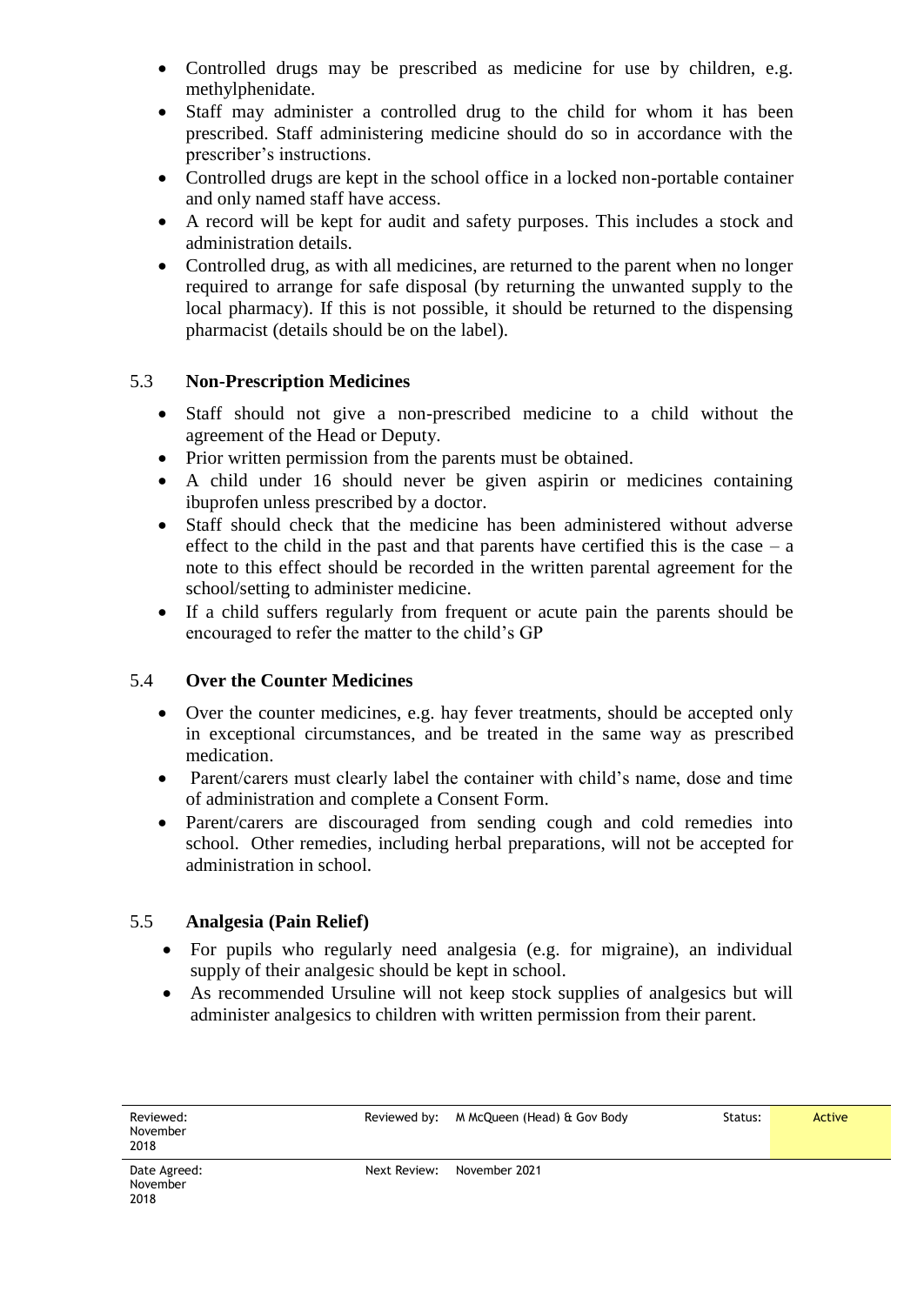- Controlled drugs may be prescribed as medicine for use by children, e.g. methylphenidate.
- Staff may administer a controlled drug to the child for whom it has been prescribed. Staff administering medicine should do so in accordance with the prescriber's instructions.
- Controlled drugs are kept in the school office in a locked non-portable container and only named staff have access.
- A record will be kept for audit and safety purposes. This includes a stock and administration details.
- Controlled drug, as with all medicines, are returned to the parent when no longer required to arrange for safe disposal (by returning the unwanted supply to the local pharmacy). If this is not possible, it should be returned to the dispensing pharmacist (details should be on the label).

#### 5.3 **Non-Prescription Medicines**

- Staff should not give a non-prescribed medicine to a child without the agreement of the Head or Deputy.
- Prior written permission from the parents must be obtained.
- A child under 16 should never be given aspirin or medicines containing ibuprofen unless prescribed by a doctor.
- Staff should check that the medicine has been administered without adverse effect to the child in the past and that parents have certified this is the case  $-$  a note to this effect should be recorded in the written parental agreement for the school/setting to administer medicine.
- If a child suffers regularly from frequent or acute pain the parents should be encouraged to refer the matter to the child's GP

#### 5.4 **Over the Counter Medicines**

- Over the counter medicines, e.g. hay fever treatments, should be accepted only in exceptional circumstances, and be treated in the same way as prescribed medication.
- Parent/carers must clearly label the container with child's name, dose and time of administration and complete a Consent Form.
- Parent/carers are discouraged from sending cough and cold remedies into school. Other remedies, including herbal preparations, will not be accepted for administration in school.

#### 5.5 **Analgesia (Pain Relief)**

- For pupils who regularly need analgesia (e.g. for migraine), an individual supply of their analgesic should be kept in school.
- As recommended Ursuline will not keep stock supplies of analgesics but will administer analgesics to children with written permission from their parent.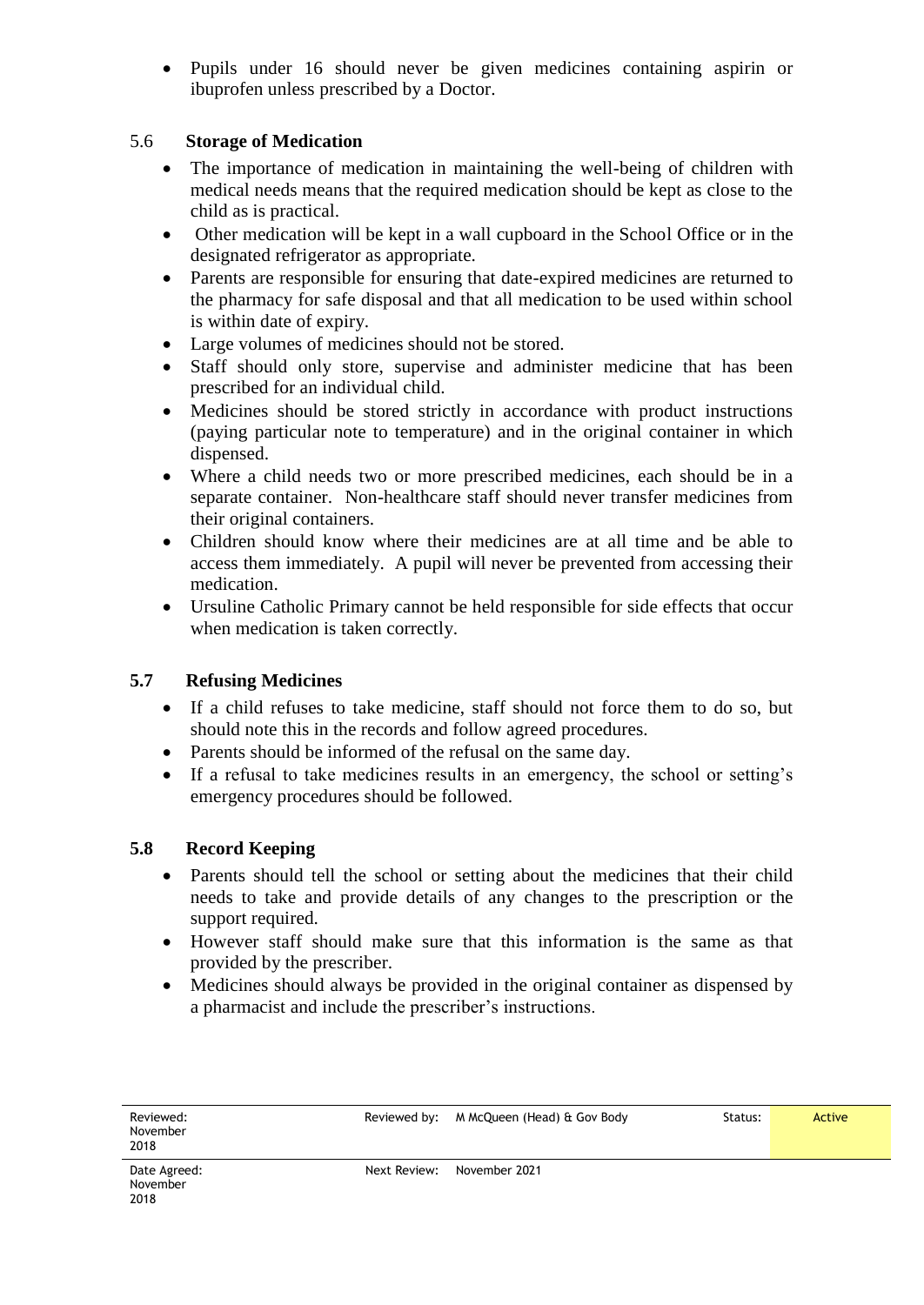Pupils under 16 should never be given medicines containing aspirin or ibuprofen unless prescribed by a Doctor.

#### 5.6 **Storage of Medication**

- The importance of medication in maintaining the well-being of children with medical needs means that the required medication should be kept as close to the child as is practical.
- Other medication will be kept in a wall cupboard in the School Office or in the designated refrigerator as appropriate.
- Parents are responsible for ensuring that date-expired medicines are returned to the pharmacy for safe disposal and that all medication to be used within school is within date of expiry.
- Large volumes of medicines should not be stored.
- Staff should only store, supervise and administer medicine that has been prescribed for an individual child.
- Medicines should be stored strictly in accordance with product instructions (paying particular note to temperature) and in the original container in which dispensed.
- Where a child needs two or more prescribed medicines, each should be in a separate container. Non-healthcare staff should never transfer medicines from their original containers.
- Children should know where their medicines are at all time and be able to access them immediately. A pupil will never be prevented from accessing their medication.
- Ursuline Catholic Primary cannot be held responsible for side effects that occur when medication is taken correctly.

#### **5.7 Refusing Medicines**

- If a child refuses to take medicine, staff should not force them to do so, but should note this in the records and follow agreed procedures.
- Parents should be informed of the refusal on the same day.
- If a refusal to take medicines results in an emergency, the school or setting's emergency procedures should be followed.

#### **5.8 Record Keeping**

- Parents should tell the school or setting about the medicines that their child needs to take and provide details of any changes to the prescription or the support required.
- However staff should make sure that this information is the same as that provided by the prescriber.
- Medicines should always be provided in the original container as dispensed by a pharmacist and include the prescriber's instructions.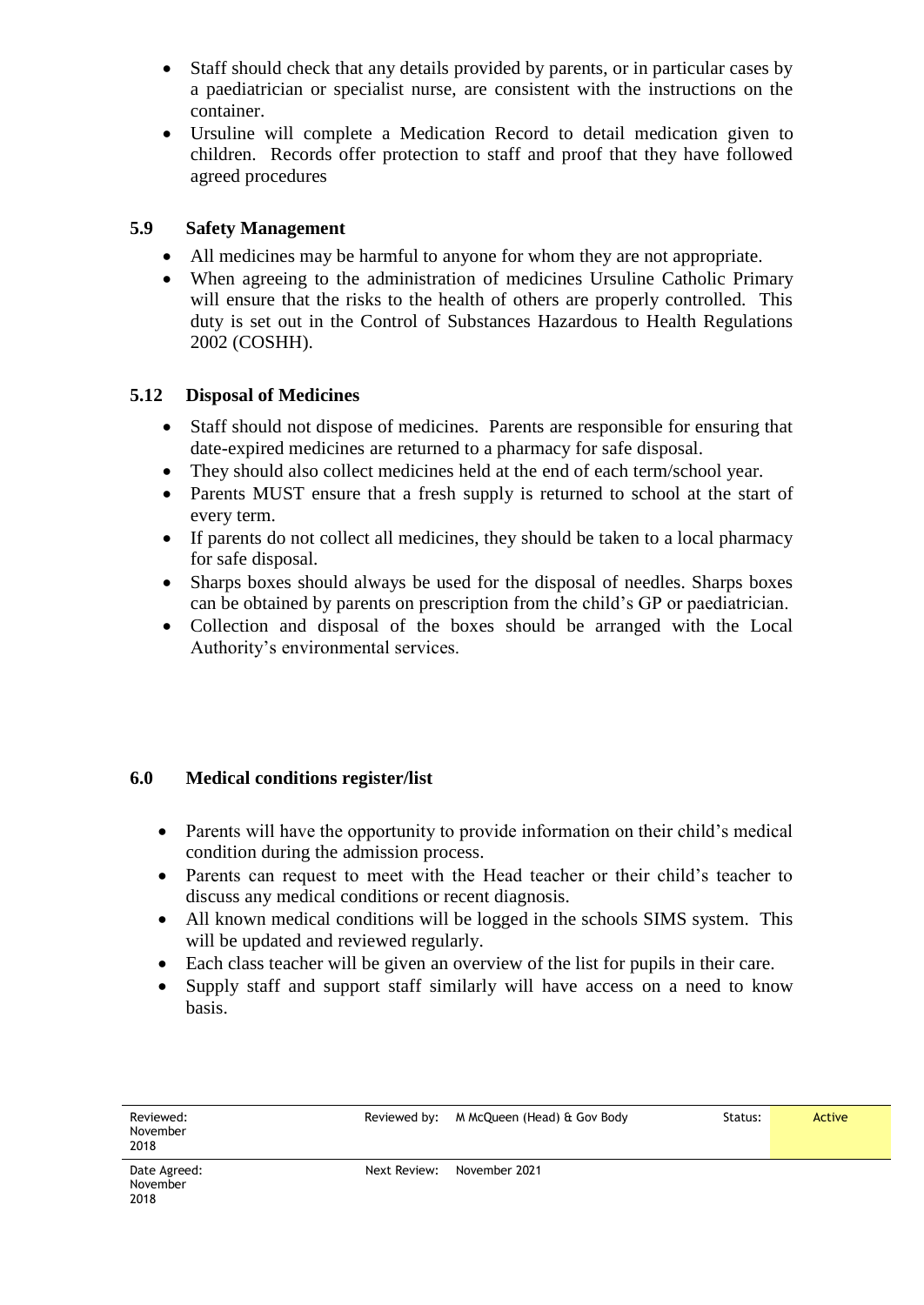- Staff should check that any details provided by parents, or in particular cases by a paediatrician or specialist nurse, are consistent with the instructions on the container.
- Ursuline will complete a Medication Record to detail medication given to children. Records offer protection to staff and proof that they have followed agreed procedures

#### **5.9 Safety Management**

- All medicines may be harmful to anyone for whom they are not appropriate.
- When agreeing to the administration of medicines Ursuline Catholic Primary will ensure that the risks to the health of others are properly controlled. This duty is set out in the Control of Substances Hazardous to Health Regulations 2002 (COSHH).

#### **5.12 Disposal of Medicines**

- Staff should not dispose of medicines. Parents are responsible for ensuring that date-expired medicines are returned to a pharmacy for safe disposal.
- They should also collect medicines held at the end of each term/school year.
- Parents MUST ensure that a fresh supply is returned to school at the start of every term.
- If parents do not collect all medicines, they should be taken to a local pharmacy for safe disposal.
- Sharps boxes should always be used for the disposal of needles. Sharps boxes can be obtained by parents on prescription from the child's GP or paediatrician.
- Collection and disposal of the boxes should be arranged with the Local Authority's environmental services.

#### **6.0 Medical conditions register/list**

- Parents will have the opportunity to provide information on their child's medical condition during the admission process.
- Parents can request to meet with the Head teacher or their child's teacher to discuss any medical conditions or recent diagnosis.
- All known medical conditions will be logged in the schools SIMS system. This will be updated and reviewed regularly.
- Each class teacher will be given an overview of the list for pupils in their care.
- Supply staff and support staff similarly will have access on a need to know basis.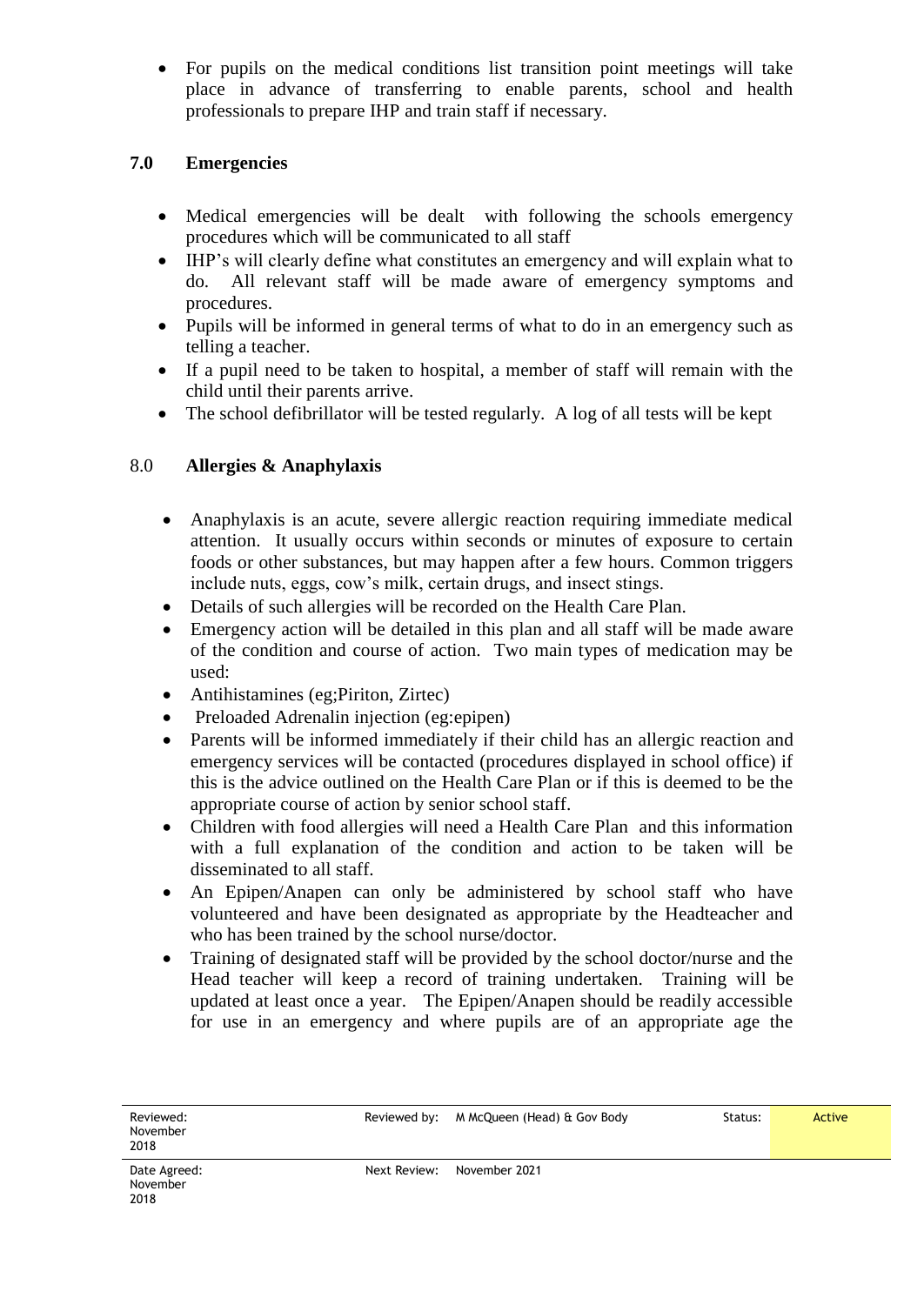For pupils on the medical conditions list transition point meetings will take place in advance of transferring to enable parents, school and health professionals to prepare IHP and train staff if necessary.

#### **7.0 Emergencies**

- Medical emergencies will be dealt with following the schools emergency procedures which will be communicated to all staff
- IHP's will clearly define what constitutes an emergency and will explain what to do. All relevant staff will be made aware of emergency symptoms and procedures.
- Pupils will be informed in general terms of what to do in an emergency such as telling a teacher.
- If a pupil need to be taken to hospital, a member of staff will remain with the child until their parents arrive.
- The school defibrillator will be tested regularly. A log of all tests will be kept

#### 8.0 **Allergies & Anaphylaxis**

- Anaphylaxis is an acute, severe allergic reaction requiring immediate medical attention. It usually occurs within seconds or minutes of exposure to certain foods or other substances, but may happen after a few hours. Common triggers include nuts, eggs, cow's milk, certain drugs, and insect stings.
- Details of such allergies will be recorded on the Health Care Plan.
- Emergency action will be detailed in this plan and all staff will be made aware of the condition and course of action. Two main types of medication may be used:
- Antihistamines (eg; Piriton, Zirtec)
- Preloaded Adrenalin injection (eg:epipen)
- Parents will be informed immediately if their child has an allergic reaction and emergency services will be contacted (procedures displayed in school office) if this is the advice outlined on the Health Care Plan or if this is deemed to be the appropriate course of action by senior school staff.
- Children with food allergies will need a Health Care Plan and this information with a full explanation of the condition and action to be taken will be disseminated to all staff.
- An Epipen/Anapen can only be administered by school staff who have volunteered and have been designated as appropriate by the Headteacher and who has been trained by the school nurse/doctor.
- Training of designated staff will be provided by the school doctor/nurse and the Head teacher will keep a record of training undertaken. Training will be updated at least once a year. The Epipen/Anapen should be readily accessible for use in an emergency and where pupils are of an appropriate age the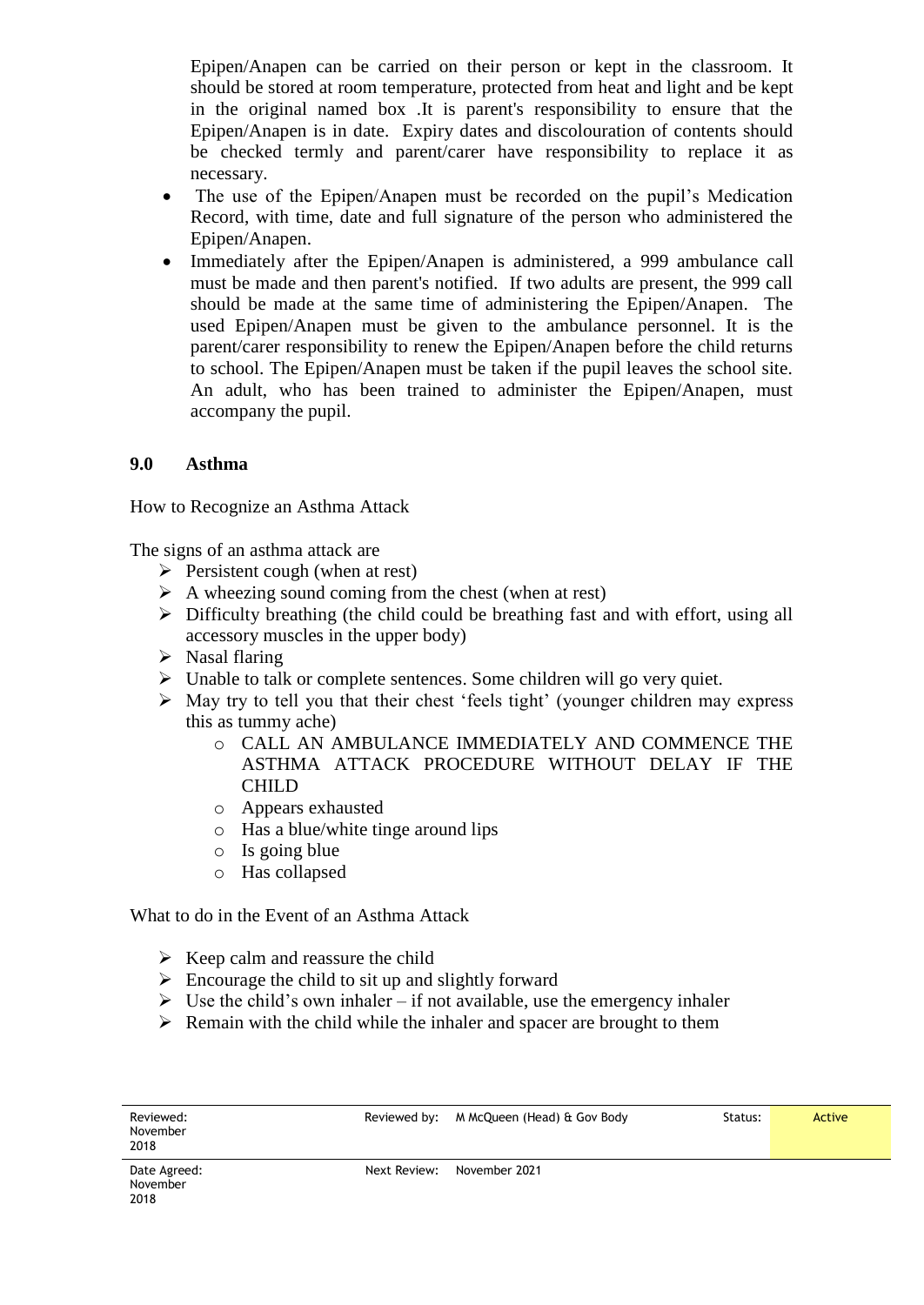Epipen/Anapen can be carried on their person or kept in the classroom. It should be stored at room temperature, protected from heat and light and be kept in the original named box .It is parent's responsibility to ensure that the Epipen/Anapen is in date. Expiry dates and discolouration of contents should be checked termly and parent/carer have responsibility to replace it as necessary.

- The use of the Epipen/Anapen must be recorded on the pupil's Medication Record, with time, date and full signature of the person who administered the Epipen/Anapen.
- Immediately after the Epipen/Anapen is administered, a 999 ambulance call must be made and then parent's notified. If two adults are present, the 999 call should be made at the same time of administering the Epipen/Anapen. The used Epipen/Anapen must be given to the ambulance personnel. It is the parent/carer responsibility to renew the Epipen/Anapen before the child returns to school. The Epipen/Anapen must be taken if the pupil leaves the school site. An adult, who has been trained to administer the Epipen/Anapen, must accompany the pupil.

#### **9.0 Asthma**

How to Recognize an Asthma Attack

The signs of an asthma attack are

- $\triangleright$  Persistent cough (when at rest)
- $\triangleright$  A wheezing sound coming from the chest (when at rest)
- $\triangleright$  Difficulty breathing (the child could be breathing fast and with effort, using all accessory muscles in the upper body)
- $\triangleright$  Nasal flaring

2018

- $\triangleright$  Unable to talk or complete sentences. Some children will go very quiet.
- $\triangleright$  May try to tell you that their chest 'feels tight' (younger children may express this as tummy ache)
	- o CALL AN AMBULANCE IMMEDIATELY AND COMMENCE THE ASTHMA ATTACK PROCEDURE WITHOUT DELAY IF THE CHILD
	- o Appears exhausted
	- o Has a blue/white tinge around lips
	- o Is going blue
	- o Has collapsed

What to do in the Event of an Asthma Attack

- $\triangleright$  Keep calm and reassure the child
- $\triangleright$  Encourage the child to sit up and slightly forward
- $\triangleright$  Use the child's own inhaler if not available, use the emergency inhaler
- $\triangleright$  Remain with the child while the inhaler and spacer are brought to them

| Reviewed:<br>November<br>2018 |              | Reviewed by: M McQueen (Head) & Gov Body | Status: | Active |
|-------------------------------|--------------|------------------------------------------|---------|--------|
| Date Agreed:<br>November      | Next Review: | November 2021                            |         |        |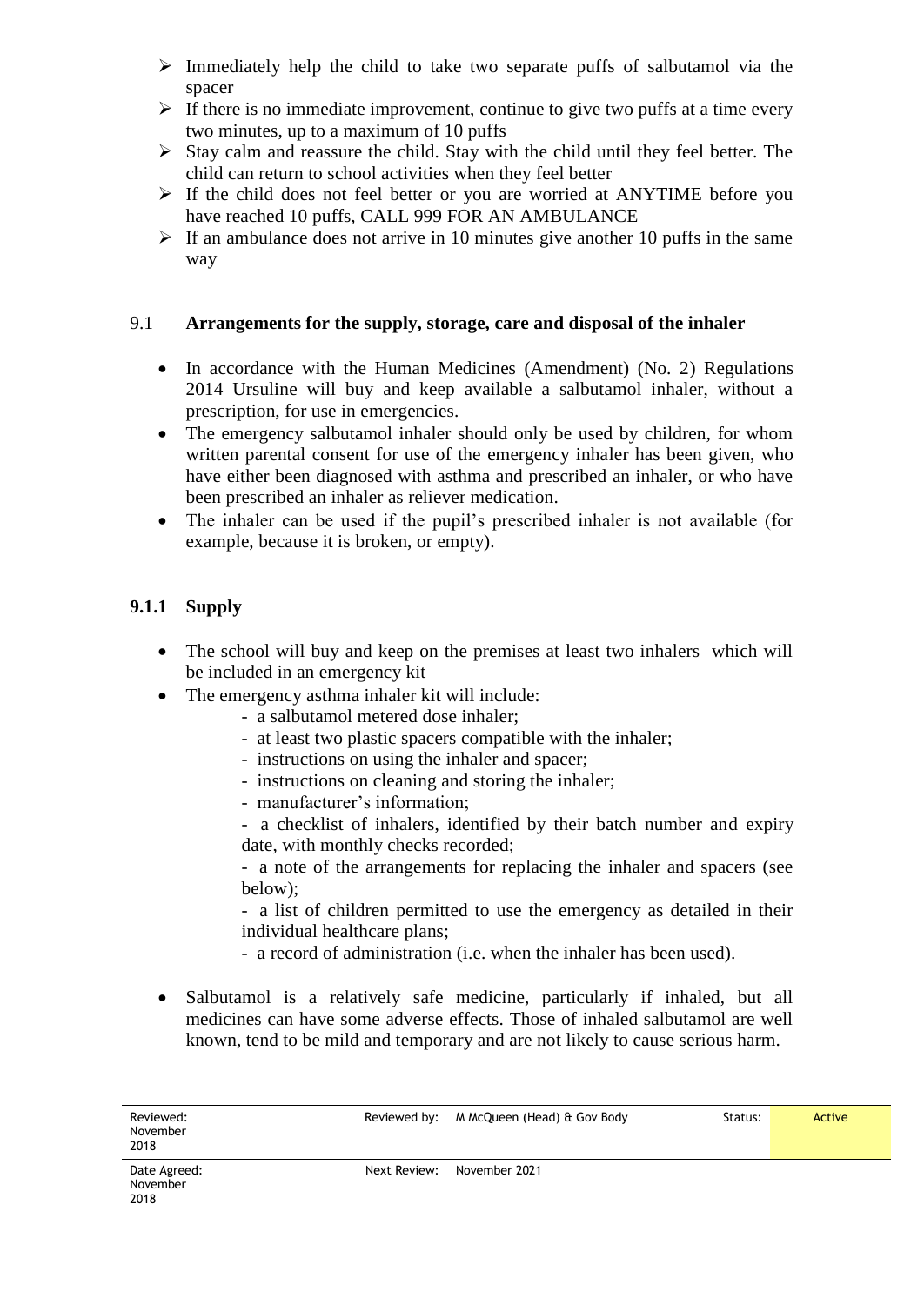- $\triangleright$  Immediately help the child to take two separate puffs of salbutamol via the spacer
- $\triangleright$  If there is no immediate improvement, continue to give two puffs at a time every two minutes, up to a maximum of 10 puffs
- $\triangleright$  Stay calm and reassure the child. Stay with the child until they feel better. The child can return to school activities when they feel better
- $\triangleright$  If the child does not feel better or you are worried at ANYTIME before you have reached 10 puffs, CALL 999 FOR AN AMBULANCE
- $\triangleright$  If an ambulance does not arrive in 10 minutes give another 10 puffs in the same way

#### 9.1 **Arrangements for the supply, storage, care and disposal of the inhaler**

- In accordance with the Human Medicines (Amendment) (No. 2) Regulations 2014 Ursuline will buy and keep available a salbutamol inhaler, without a prescription, for use in emergencies.
- The emergency salbutamol inhaler should only be used by children, for whom written parental consent for use of the emergency inhaler has been given, who have either been diagnosed with asthma and prescribed an inhaler, or who have been prescribed an inhaler as reliever medication.
- The inhaler can be used if the pupil's prescribed inhaler is not available (for example, because it is broken, or empty).

#### **9.1.1 Supply**

- The school will buy and keep on the premises at least two inhalers which will be included in an emergency kit
- The emergency asthma inhaler kit will include:
	- a salbutamol metered dose inhaler;
	- at least two plastic spacers compatible with the inhaler;
	- instructions on using the inhaler and spacer;
	- instructions on cleaning and storing the inhaler;
	- manufacturer's information;
	- a checklist of inhalers, identified by their batch number and expiry date, with monthly checks recorded;

- a note of the arrangements for replacing the inhaler and spacers (see below);

- a list of children permitted to use the emergency as detailed in their individual healthcare plans;

- a record of administration (i.e. when the inhaler has been used).
- Salbutamol is a relatively safe medicine, particularly if inhaled, but all medicines can have some adverse effects. Those of inhaled salbutamol are well known, tend to be mild and temporary and are not likely to cause serious harm.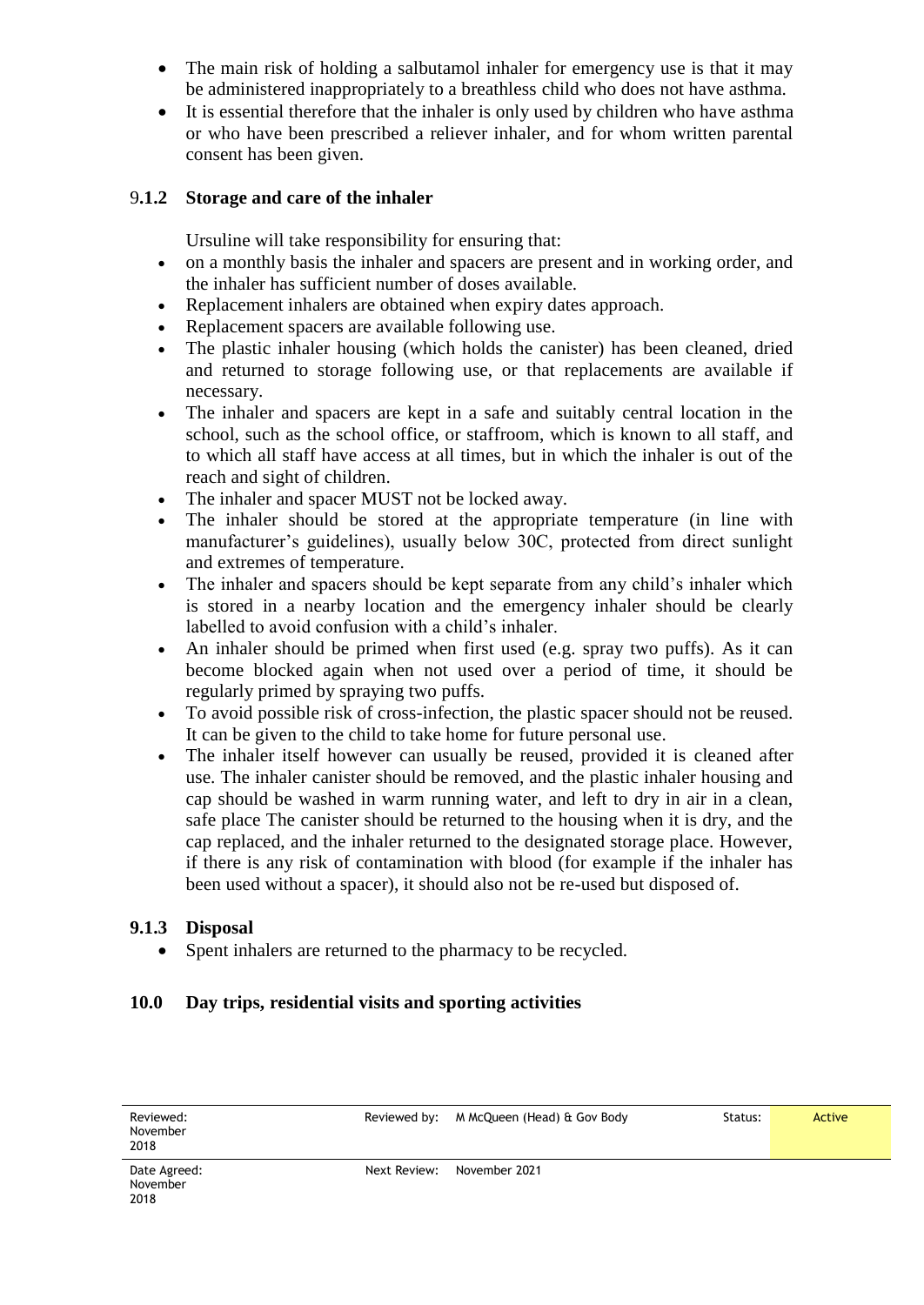- The main risk of holding a salbutamol inhaler for emergency use is that it may be administered inappropriately to a breathless child who does not have asthma.
- It is essential therefore that the inhaler is only used by children who have asthma or who have been prescribed a reliever inhaler, and for whom written parental consent has been given.

#### 9**.1.2 Storage and care of the inhaler**

Ursuline will take responsibility for ensuring that:

- on a monthly basis the inhaler and spacers are present and in working order, and the inhaler has sufficient number of doses available.
- Replacement inhalers are obtained when expiry dates approach.
- Replacement spacers are available following use.
- The plastic inhaler housing (which holds the canister) has been cleaned, dried and returned to storage following use, or that replacements are available if necessary.
- The inhaler and spacers are kept in a safe and suitably central location in the school, such as the school office, or staffroom, which is known to all staff, and to which all staff have access at all times, but in which the inhaler is out of the reach and sight of children.
- The inhaler and spacer MUST not be locked away.
- The inhaler should be stored at the appropriate temperature (in line with manufacturer's guidelines), usually below 30C, protected from direct sunlight and extremes of temperature.
- The inhaler and spacers should be kept separate from any child's inhaler which is stored in a nearby location and the emergency inhaler should be clearly labelled to avoid confusion with a child's inhaler.
- An inhaler should be primed when first used (e.g. spray two puffs). As it can become blocked again when not used over a period of time, it should be regularly primed by spraying two puffs.
- To avoid possible risk of cross-infection, the plastic spacer should not be reused. It can be given to the child to take home for future personal use.
- The inhaler itself however can usually be reused, provided it is cleaned after use. The inhaler canister should be removed, and the plastic inhaler housing and cap should be washed in warm running water, and left to dry in air in a clean, safe place The canister should be returned to the housing when it is dry, and the cap replaced, and the inhaler returned to the designated storage place. However, if there is any risk of contamination with blood (for example if the inhaler has been used without a spacer), it should also not be re-used but disposed of.

#### **9.1.3 Disposal**

Spent inhalers are returned to the pharmacy to be recycled.

#### **10.0 Day trips, residential visits and sporting activities**

| Reviewed:<br>November<br>2018    |              | Reviewed by: M McQueen (Head) & Gov Body | Status: | Active |
|----------------------------------|--------------|------------------------------------------|---------|--------|
| Date Agreed:<br>November<br>2018 | Next Review: | November 2021                            |         |        |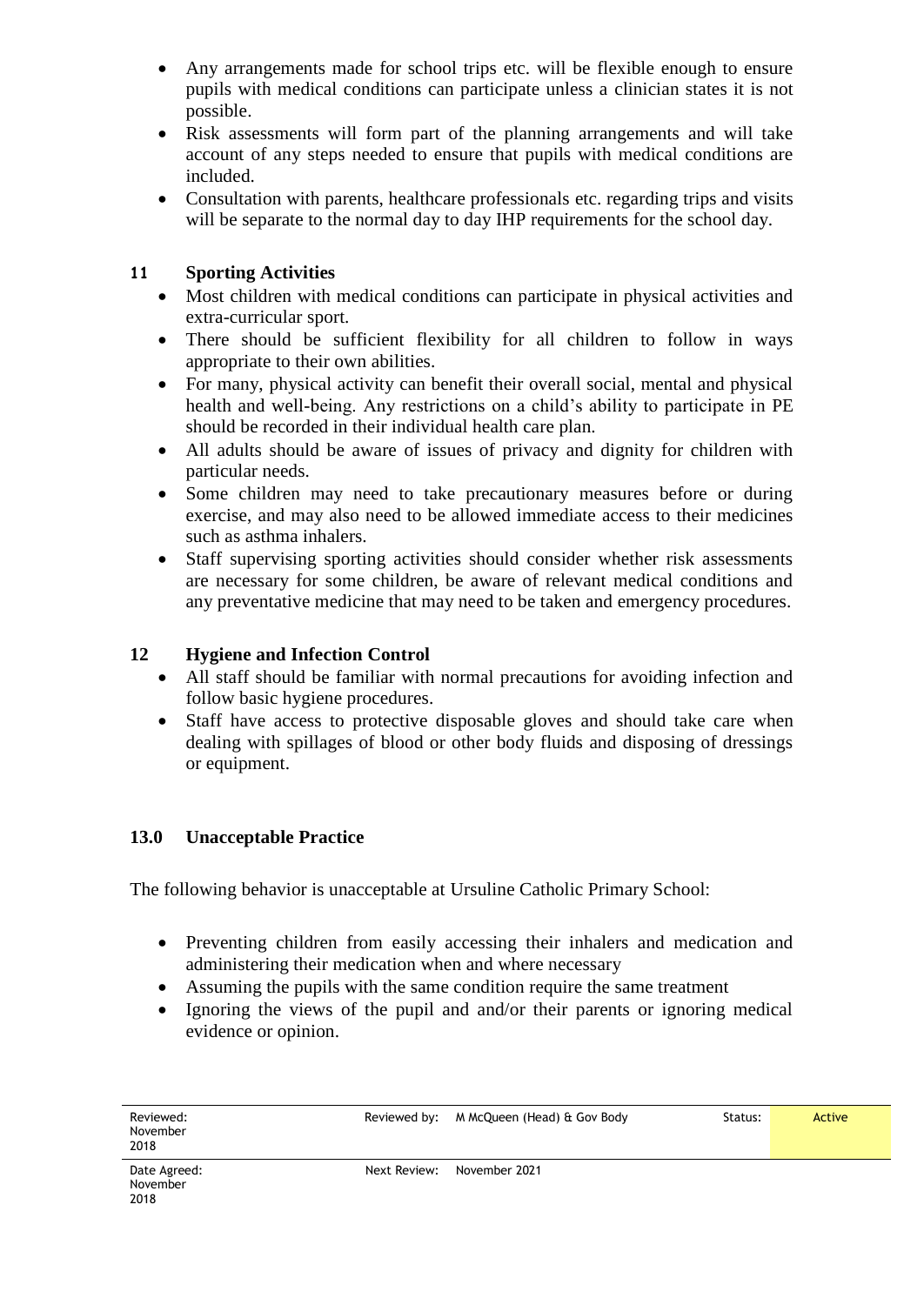- Any arrangements made for school trips etc. will be flexible enough to ensure pupils with medical conditions can participate unless a clinician states it is not possible.
- Risk assessments will form part of the planning arrangements and will take account of any steps needed to ensure that pupils with medical conditions are included.
- Consultation with parents, healthcare professionals etc. regarding trips and visits will be separate to the normal day to day IHP requirements for the school day.

#### **11 Sporting Activities**

- Most children with medical conditions can participate in physical activities and extra-curricular sport.
- There should be sufficient flexibility for all children to follow in ways appropriate to their own abilities.
- For many, physical activity can benefit their overall social, mental and physical health and well-being. Any restrictions on a child's ability to participate in PE should be recorded in their individual health care plan.
- All adults should be aware of issues of privacy and dignity for children with particular needs.
- Some children may need to take precautionary measures before or during exercise, and may also need to be allowed immediate access to their medicines such as asthma inhalers.
- Staff supervising sporting activities should consider whether risk assessments are necessary for some children, be aware of relevant medical conditions and any preventative medicine that may need to be taken and emergency procedures.

#### **12 Hygiene and Infection Control**

- All staff should be familiar with normal precautions for avoiding infection and follow basic hygiene procedures.
- Staff have access to protective disposable gloves and should take care when dealing with spillages of blood or other body fluids and disposing of dressings or equipment.

#### **13.0 Unacceptable Practice**

The following behavior is unacceptable at Ursuline Catholic Primary School:

- Preventing children from easily accessing their inhalers and medication and administering their medication when and where necessary
- Assuming the pupils with the same condition require the same treatment
- Ignoring the views of the pupil and and/or their parents or ignoring medical evidence or opinion.